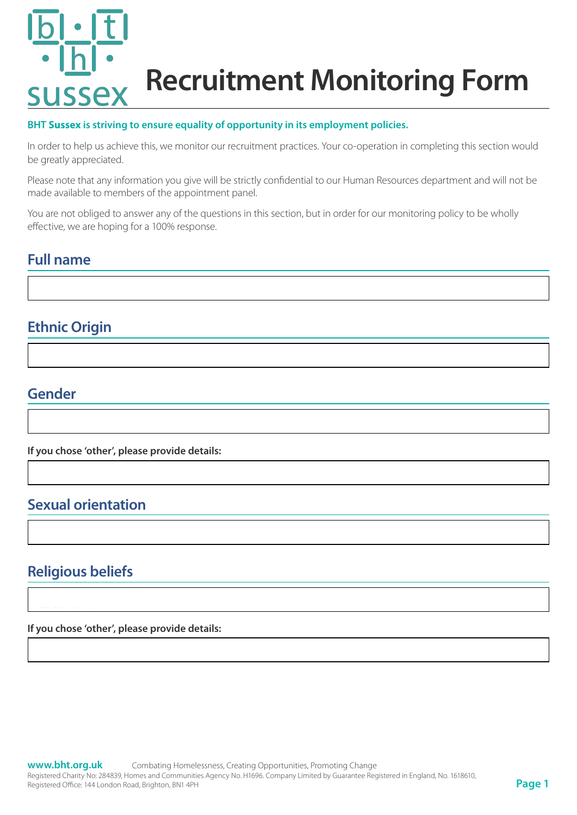# **Recruitment Monitoring Form ISSAX**

#### **BHT Sussex is striving to ensure equality of opportunity in its employment policies.**

In order to help us achieve this, we monitor our recruitment practices. Your co-operation in completing this section would be greatly appreciated.

Please note that any information you give will be strictly confidential to our Human Resources department and will not be made available to members of the appointment panel.

You are not obliged to answer any of the questions in this section, but in order for our monitoring policy to be wholly effective, we are hoping for a 100% response.

## **Full name**

# **Ethnic Origin**

#### **Gender**

**If you chose 'other', please provide details:**

## **Sexual orientation**

# **Religious beliefs**

Agnosticism Atheism Baha'iuddhism CandombleChristianity Hinduism Islam Jainism Jedismwish Muslim Nonet specified Other Rastafarianism Sikhism TaoismUnitarianism Zoroastrians (Parsi)

**If you chose 'other', please provide details:**

 $\overline{\phantom{a}}$ 

 $\overline{\mathbf{v}}$ 

 $\vert \textbf{v} \vert$